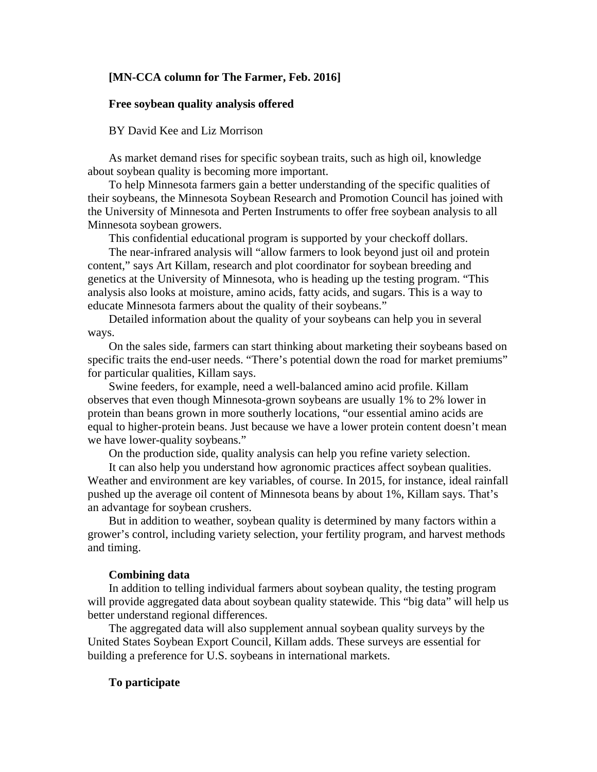## **[MN-CCA column for The Farmer, Feb. 2016]**

## **Free soybean quality analysis offered**

# BY David Kee and Liz Morrison

As market demand rises for specific soybean traits, such as high oil, knowledge about soybean quality is becoming more important.

To help Minnesota farmers gain a better understanding of the specific qualities of their soybeans, the Minnesota Soybean Research and Promotion Council has joined with the University of Minnesota and Perten Instruments to offer free soybean analysis to all Minnesota soybean growers.

This confidential educational program is supported by your checkoff dollars.

The near-infrared analysis will "allow farmers to look beyond just oil and protein content," says Art Killam, research and plot coordinator for soybean breeding and genetics at the University of Minnesota, who is heading up the testing program. "This analysis also looks at moisture, amino acids, fatty acids, and sugars. This is a way to educate Minnesota farmers about the quality of their soybeans."

Detailed information about the quality of your soybeans can help you in several ways.

On the sales side, farmers can start thinking about marketing their soybeans based on specific traits the end-user needs. "There's potential down the road for market premiums" for particular qualities, Killam says.

Swine feeders, for example, need a well-balanced amino acid profile. Killam observes that even though Minnesota-grown soybeans are usually 1% to 2% lower in protein than beans grown in more southerly locations, "our essential amino acids are equal to higher-protein beans. Just because we have a lower protein content doesn't mean we have lower-quality soybeans."

On the production side, quality analysis can help you refine variety selection.

It can also help you understand how agronomic practices affect soybean qualities. Weather and environment are key variables, of course. In 2015, for instance, ideal rainfall pushed up the average oil content of Minnesota beans by about 1%, Killam says. That's an advantage for soybean crushers.

But in addition to weather, soybean quality is determined by many factors within a grower's control, including variety selection, your fertility program, and harvest methods and timing.

## **Combining data**

In addition to telling individual farmers about soybean quality, the testing program will provide aggregated data about soybean quality statewide. This "big data" will help us better understand regional differences.

The aggregated data will also supplement annual soybean quality surveys by the United States Soybean Export Council, Killam adds. These surveys are essential for building a preference for U.S. soybeans in international markets.

# **To participate**